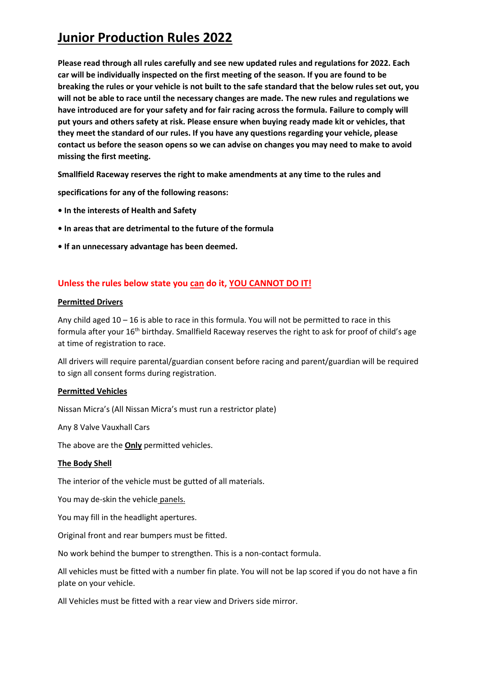**Please read through all rules carefully and see new updated rules and regulations for 2022. Each car will be individually inspected on the first meeting of the season. If you are found to be breaking the rules or your vehicle is not built to the safe standard that the below rules set out, you will not be able to race until the necessary changes are made. The new rules and regulations we have introduced are for your safety and for fair racing across the formula. Failure to comply will put yours and others safety at risk. Please ensure when buying ready made kit or vehicles, that they meet the standard of our rules. If you have any questions regarding your vehicle, please contact us before the season opens so we can advise on changes you may need to make to avoid missing the first meeting.**

**Smallfield Raceway reserves the right to make amendments at any time to the rules and** 

**specifications for any of the following reasons:** 

- **In the interests of Health and Safety**
- **In areas that are detrimental to the future of the formula**
- **If an unnecessary advantage has been deemed.**

## **Unless the rules below state you can do it, YOU CANNOT DO IT!**

### **Permitted Drivers**

Any child aged 10 – 16 is able to race in this formula. You will not be permitted to race in this formula after your 16<sup>th</sup> birthday. Smallfield Raceway reserves the right to ask for proof of child's age at time of registration to race.

All drivers will require parental/guardian consent before racing and parent/guardian will be required to sign all consent forms during registration.

### **Permitted Vehicles**

Nissan Micra's (All Nissan Micra's must run a restrictor plate)

Any 8 Valve Vauxhall Cars

The above are the **Only** permitted vehicles.

### **The Body Shell**

The interior of the vehicle must be gutted of all materials.

You may de-skin the vehicle panels.

You may fill in the headlight apertures.

Original front and rear bumpers must be fitted.

No work behind the bumper to strengthen. This is a non-contact formula.

All vehicles must be fitted with a number fin plate. You will not be lap scored if you do not have a fin plate on your vehicle.

All Vehicles must be fitted with a rear view and Drivers side mirror.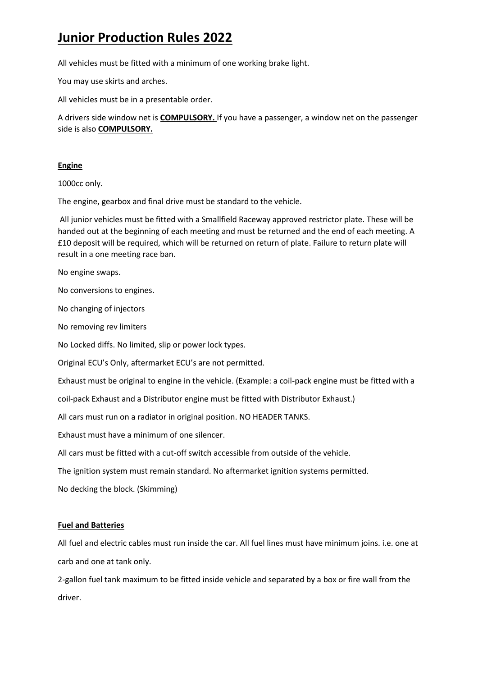All vehicles must be fitted with a minimum of one working brake light.

You may use skirts and arches.

All vehicles must be in a presentable order.

A drivers side window net is **COMPULSORY.** If you have a passenger, a window net on the passenger side is also **COMPULSORY.**

### **Engine**

1000cc only.

The engine, gearbox and final drive must be standard to the vehicle.

All junior vehicles must be fitted with a Smallfield Raceway approved restrictor plate. These will be handed out at the beginning of each meeting and must be returned and the end of each meeting. A £10 deposit will be required, which will be returned on return of plate. Failure to return plate will result in a one meeting race ban.

No engine swaps.

No conversions to engines.

No changing of injectors

No removing rev limiters

No Locked diffs. No limited, slip or power lock types.

Original ECU's Only, aftermarket ECU's are not permitted.

Exhaust must be original to engine in the vehicle. (Example: a coil-pack engine must be fitted with a

coil-pack Exhaust and a Distributor engine must be fitted with Distributor Exhaust.)

All cars must run on a radiator in original position. NO HEADER TANKS.

Exhaust must have a minimum of one silencer.

All cars must be fitted with a cut-off switch accessible from outside of the vehicle.

The ignition system must remain standard. No aftermarket ignition systems permitted.

No decking the block. (Skimming)

### **Fuel and Batteries**

All fuel and electric cables must run inside the car. All fuel lines must have minimum joins. i.e. one at carb and one at tank only.

2-gallon fuel tank maximum to be fitted inside vehicle and separated by a box or fire wall from the driver.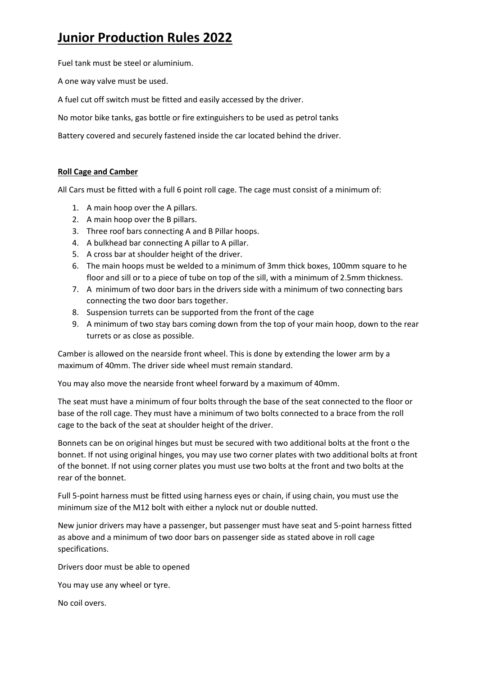Fuel tank must be steel or aluminium.

A one way valve must be used.

A fuel cut off switch must be fitted and easily accessed by the driver.

No motor bike tanks, gas bottle or fire extinguishers to be used as petrol tanks

Battery covered and securely fastened inside the car located behind the driver.

### **Roll Cage and Camber**

All Cars must be fitted with a full 6 point roll cage. The cage must consist of a minimum of:

- 1. A main hoop over the A pillars.
- 2. A main hoop over the B pillars.
- 3. Three roof bars connecting A and B Pillar hoops.
- 4. A bulkhead bar connecting A pillar to A pillar.
- 5. A cross bar at shoulder height of the driver.
- 6. The main hoops must be welded to a minimum of 3mm thick boxes, 100mm square to he floor and sill or to a piece of tube on top of the sill, with a minimum of 2.5mm thickness.
- 7. A minimum of two door bars in the drivers side with a minimum of two connecting bars connecting the two door bars together.
- 8. Suspension turrets can be supported from the front of the cage
- 9. A minimum of two stay bars coming down from the top of your main hoop, down to the rear turrets or as close as possible.

Camber is allowed on the nearside front wheel. This is done by extending the lower arm by a maximum of 40mm. The driver side wheel must remain standard.

You may also move the nearside front wheel forward by a maximum of 40mm.

The seat must have a minimum of four bolts through the base of the seat connected to the floor or base of the roll cage. They must have a minimum of two bolts connected to a brace from the roll cage to the back of the seat at shoulder height of the driver.

Bonnets can be on original hinges but must be secured with two additional bolts at the front o the bonnet. If not using original hinges, you may use two corner plates with two additional bolts at front of the bonnet. If not using corner plates you must use two bolts at the front and two bolts at the rear of the bonnet.

Full 5-point harness must be fitted using harness eyes or chain, if using chain, you must use the minimum size of the M12 bolt with either a nylock nut or double nutted.

New junior drivers may have a passenger, but passenger must have seat and 5-point harness fitted as above and a minimum of two door bars on passenger side as stated above in roll cage specifications.

Drivers door must be able to opened

You may use any wheel or tyre.

No coil overs.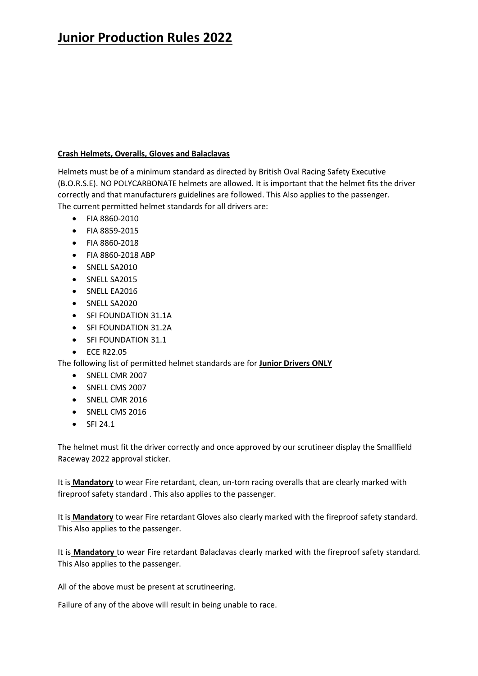### **Crash Helmets, Overalls, Gloves and Balaclavas**

Helmets must be of a minimum standard as directed by British Oval Racing Safety Executive (B.O.R.S.E). NO POLYCARBONATE helmets are allowed. It is important that the helmet fits the driver correctly and that manufacturers guidelines are followed. This Also applies to the passenger. The current permitted helmet standards for all drivers are:

- FIA 8860-2010
- FIA 8859-2015
- FIA 8860-2018
- FIA 8860-2018 ABP
- SNELL SA2010
- SNELL SA2015
- SNELL EA2016
- SNELL SA2020
- SFI FOUNDATION 31.1A
- SFI FOUNDATION 31.2A
- SFI FOUNDATION 31.1
- ECE R22.05

The following list of permitted helmet standards are for **Junior Drivers ONLY**

- SNELL CMR 2007
- SNELL CMS 2007
- SNELL CMR 2016
- SNELL CMS 2016
- SFI 24.1

The helmet must fit the driver correctly and once approved by our scrutineer display the Smallfield Raceway 2022 approval sticker.

It is **Mandatory** to wear Fire retardant, clean, un-torn racing overalls that are clearly marked with fireproof safety standard . This also applies to the passenger.

It is **Mandatory** to wear Fire retardant Gloves also clearly marked with the fireproof safety standard. This Also applies to the passenger.

It is **Mandatory** to wear Fire retardant Balaclavas clearly marked with the fireproof safety standard. This Also applies to the passenger.

All of the above must be present at scrutineering.

Failure of any of the above will result in being unable to race.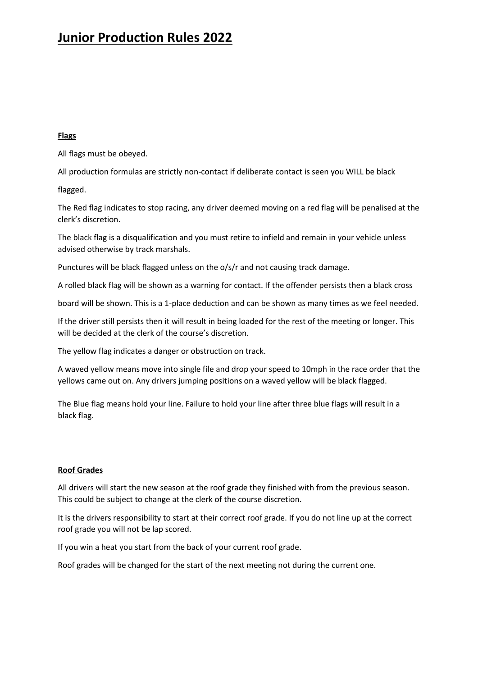### **Flags**

All flags must be obeyed.

All production formulas are strictly non-contact if deliberate contact is seen you WILL be black

flagged.

The Red flag indicates to stop racing, any driver deemed moving on a red flag will be penalised at the clerk's discretion.

The black flag is a disqualification and you must retire to infield and remain in your vehicle unless advised otherwise by track marshals.

Punctures will be black flagged unless on the o/s/r and not causing track damage.

A rolled black flag will be shown as a warning for contact. If the offender persists then a black cross

board will be shown. This is a 1-place deduction and can be shown as many times as we feel needed.

If the driver still persists then it will result in being loaded for the rest of the meeting or longer. This will be decided at the clerk of the course's discretion.

The yellow flag indicates a danger or obstruction on track.

A waved yellow means move into single file and drop your speed to 10mph in the race order that the yellows came out on. Any drivers jumping positions on a waved yellow will be black flagged.

The Blue flag means hold your line. Failure to hold your line after three blue flags will result in a black flag.

### **Roof Grades**

All drivers will start the new season at the roof grade they finished with from the previous season. This could be subject to change at the clerk of the course discretion.

It is the drivers responsibility to start at their correct roof grade. If you do not line up at the correct roof grade you will not be lap scored.

If you win a heat you start from the back of your current roof grade.

Roof grades will be changed for the start of the next meeting not during the current one.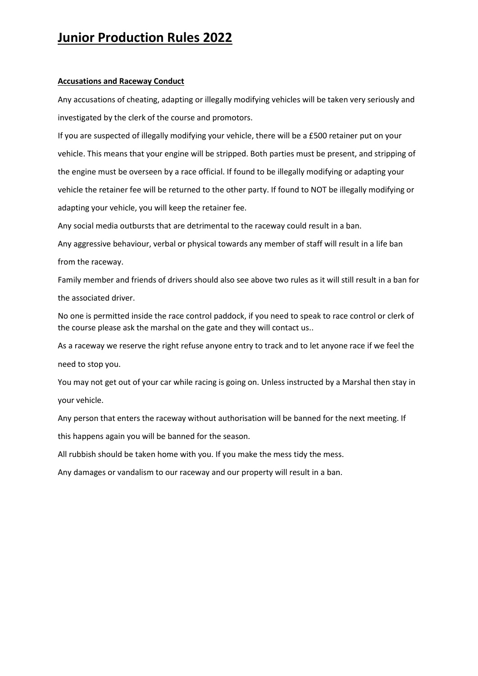#### **Accusations and Raceway Conduct**

Any accusations of cheating, adapting or illegally modifying vehicles will be taken very seriously and investigated by the clerk of the course and promotors.

If you are suspected of illegally modifying your vehicle, there will be a £500 retainer put on your vehicle. This means that your engine will be stripped. Both parties must be present, and stripping of the engine must be overseen by a race official. If found to be illegally modifying or adapting your vehicle the retainer fee will be returned to the other party. If found to NOT be illegally modifying or adapting your vehicle, you will keep the retainer fee.

Any social media outbursts that are detrimental to the raceway could result in a ban.

Any aggressive behaviour, verbal or physical towards any member of staff will result in a life ban from the raceway.

Family member and friends of drivers should also see above two rules as it will still result in a ban for the associated driver.

No one is permitted inside the race control paddock, if you need to speak to race control or clerk of the course please ask the marshal on the gate and they will contact us..

As a raceway we reserve the right refuse anyone entry to track and to let anyone race if we feel the need to stop you.

You may not get out of your car while racing is going on. Unless instructed by a Marshal then stay in your vehicle.

Any person that enters the raceway without authorisation will be banned for the next meeting. If this happens again you will be banned for the season.

All rubbish should be taken home with you. If you make the mess tidy the mess.

Any damages or vandalism to our raceway and our property will result in a ban.